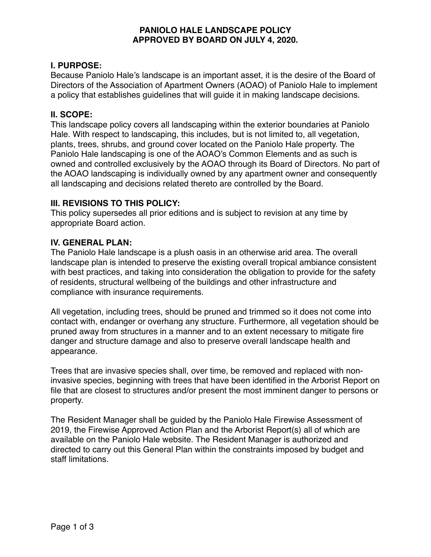## **PANIOLO HALE LANDSCAPE POLICY APPROVED BY BOARD ON JULY 4, 2020.**

### **I. PURPOSE:**

Because Paniolo Hale's landscape is an important asset, it is the desire of the Board of Directors of the Association of Apartment Owners (AOAO) of Paniolo Hale to implement a policy that establishes guidelines that will guide it in making landscape decisions.

### **II. SCOPE:**

This landscape policy covers all landscaping within the exterior boundaries at Paniolo Hale. With respect to landscaping, this includes, but is not limited to, all vegetation, plants, trees, shrubs, and ground cover located on the Paniolo Hale property. The Paniolo Hale landscaping is one of the AOAO's Common Elements and as such is owned and controlled exclusively by the AOAO through its Board of Directors. No part of the AOAO landscaping is individually owned by any apartment owner and consequently all landscaping and decisions related thereto are controlled by the Board.

### **III. REVISIONS TO THIS POLICY:**

This policy supersedes all prior editions and is subject to revision at any time by appropriate Board action.

## **IV. GENERAL PLAN:**

The Paniolo Hale landscape is a plush oasis in an otherwise arid area. The overall landscape plan is intended to preserve the existing overall tropical ambiance consistent with best practices, and taking into consideration the obligation to provide for the safety of residents, structural wellbeing of the buildings and other infrastructure and compliance with insurance requirements.

All vegetation, including trees, should be pruned and trimmed so it does not come into contact with, endanger or overhang any structure. Furthermore, all vegetation should be pruned away from structures in a manner and to an extent necessary to mitigate fire danger and structure damage and also to preserve overall landscape health and appearance.

Trees that are invasive species shall, over time, be removed and replaced with noninvasive species, beginning with trees that have been identified in the Arborist Report on file that are closest to structures and/or present the most imminent danger to persons or property.

The Resident Manager shall be guided by the Paniolo Hale Firewise Assessment of 2019, the Firewise Approved Action Plan and the Arborist Report(s) all of which are available on the Paniolo Hale website. The Resident Manager is authorized and directed to carry out this General Plan within the constraints imposed by budget and staff limitations.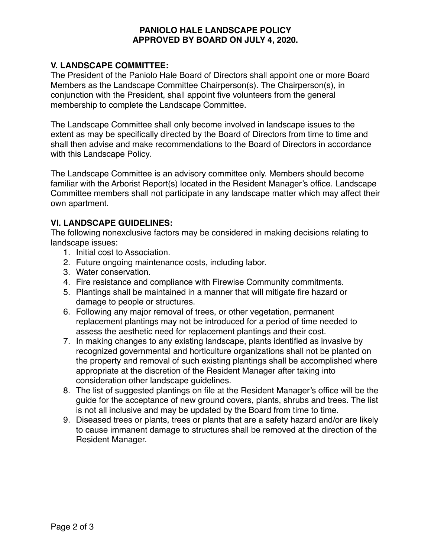## **PANIOLO HALE LANDSCAPE POLICY APPROVED BY BOARD ON JULY 4, 2020.**

# **V. LANDSCAPE COMMITTEE:**

The President of the Paniolo Hale Board of Directors shall appoint one or more Board Members as the Landscape Committee Chairperson(s). The Chairperson(s), in conjunction with the President, shall appoint five volunteers from the general membership to complete the Landscape Committee.

The Landscape Committee shall only become involved in landscape issues to the extent as may be specifically directed by the Board of Directors from time to time and shall then advise and make recommendations to the Board of Directors in accordance with this Landscape Policy.

The Landscape Committee is an advisory committee only. Members should become familiar with the Arborist Report(s) located in the Resident Manager's office. Landscape Committee members shall not participate in any landscape matter which may affect their own apartment.

### **VI. LANDSCAPE GUIDELINES:**

The following nonexclusive factors may be considered in making decisions relating to landscape issues:

- 1. Initial cost to Association.
- 2. Future ongoing maintenance costs, including labor.
- 3. Water conservation.
- 4. Fire resistance and compliance with Firewise Community commitments.
- 5. Plantings shall be maintained in a manner that will mitigate fire hazard or damage to people or structures.
- 6. Following any major removal of trees, or other vegetation, permanent replacement plantings may not be introduced for a period of time needed to assess the aesthetic need for replacement plantings and their cost.
- 7. In making changes to any existing landscape, plants identified as invasive by recognized governmental and horticulture organizations shall not be planted on the property and removal of such existing plantings shall be accomplished where appropriate at the discretion of the Resident Manager after taking into consideration other landscape guidelines.
- 8. The list of suggested plantings on file at the Resident Manager's office will be the guide for the acceptance of new ground covers, plants, shrubs and trees. The list is not all inclusive and may be updated by the Board from time to time.
- 9. Diseased trees or plants, trees or plants that are a safety hazard and/or are likely to cause immanent damage to structures shall be removed at the direction of the Resident Manager.